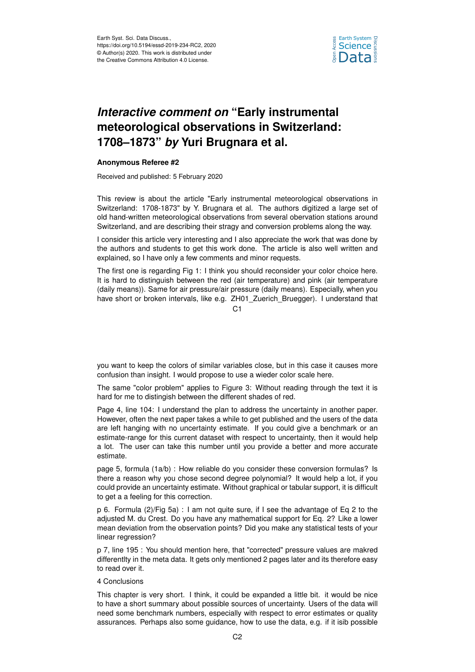

## *Interactive comment on* **"Early instrumental meteorological observations in Switzerland: 1708–1873"** *by* **Yuri Brugnara et al.**

## **Anonymous Referee #2**

Received and published: 5 February 2020

This review is about the article "Early instrumental meteorological observations in Switzerland: 1708-1873" by Y. Brugnara et al. The authors digitized a large set of old hand-written meteorological observations from several obervation stations around Switzerland, and are describing their stragy and conversion problems along the way.

I consider this article very interesting and I also appreciate the work that was done by the authors and students to get this work done. The article is also well written and explained, so I have only a few comments and minor requests.

The first one is regarding Fig 1: I think you should reconsider your color choice here. It is hard to distinguish between the red (air temperature) and pink (air temperature (daily means)). Same for air pressure/air pressure (daily means). Especially, when you have short or broken intervals, like e.g. ZH01 Zuerich Bruegger). I understand that

 $C<sub>1</sub>$ 

you want to keep the colors of similar variables close, but in this case it causes more confusion than insight. I would propose to use a wieder color scale here.

The same "color problem" applies to Figure 3: Without reading through the text it is hard for me to distingish between the different shades of red.

Page 4, line 104: I understand the plan to address the uncertainty in another paper. However, often the next paper takes a while to get published and the users of the data are left hanging with no uncertainty estimate. If you could give a benchmark or an estimate-range for this current dataset with respect to uncertainty, then it would help a lot. The user can take this number until you provide a better and more accurate estimate.

page 5, formula (1a/b) : How reliable do you consider these conversion formulas? Is there a reason why you chose second degree polynomial? It would help a lot, if you could provide an uncertainty estimate. Without graphical or tabular support, it is difficult to get a a feeling for this correction.

p 6. Formula (2)/Fig 5a) : I am not quite sure, if I see the advantage of Eq 2 to the adjusted M. du Crest. Do you have any mathematical support for Eq. 2? Like a lower mean deviation from the observation points? Did you make any statistical tests of your linear regression?

p 7, line 195 : You should mention here, that "corrected" pressure values are makred differentlty in the meta data. It gets only mentioned 2 pages later and its therefore easy to read over it.

## 4 Conclusions

This chapter is very short. I think, it could be expanded a little bit. it would be nice to have a short summary about possible sources of uncertainty. Users of the data will need some benchmark numbers, especially with respect to error estimates or quality assurances. Perhaps also some guidance, how to use the data, e.g. if it isib possible